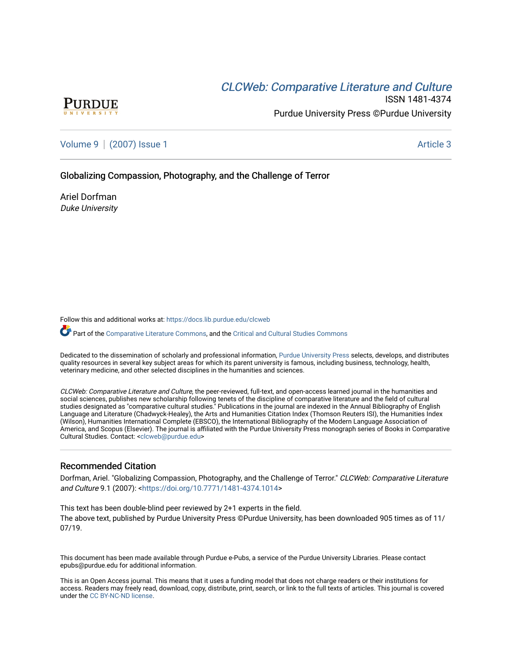# **CLCW[eb: Comparative Liter](https://docs.lib.purdue.edu/clcweb)ature and Culture**



ISSN 1481-4374 Purdue University Press ©Purdue University

[Volume 9](https://docs.lib.purdue.edu/clcweb/vol9) | [\(2007\) Issue 1](https://docs.lib.purdue.edu/clcweb/vol9/iss1) Article 3

Globalizing Compassion, Photography, and the Challenge of Terror

Ariel Dorfman Duke University

Follow this and additional works at: [https://docs.lib.purdue.edu/clcweb](https://docs.lib.purdue.edu/clcweb?utm_source=docs.lib.purdue.edu%2Fclcweb%2Fvol9%2Fiss1%2F3&utm_medium=PDF&utm_campaign=PDFCoverPages)

Part of the [Comparative Literature Commons,](http://network.bepress.com/hgg/discipline/454?utm_source=docs.lib.purdue.edu%2Fclcweb%2Fvol9%2Fiss1%2F3&utm_medium=PDF&utm_campaign=PDFCoverPages) and the Critical and Cultural Studies Commons

Dedicated to the dissemination of scholarly and professional information, [Purdue University Press](http://www.thepress.purdue.edu/) selects, develops, and distributes quality resources in several key subject areas for which its parent university is famous, including business, technology, health, veterinary medicine, and other selected disciplines in the humanities and sciences.

CLCWeb: Comparative Literature and Culture, the peer-reviewed, full-text, and open-access learned journal in the humanities and social sciences, publishes new scholarship following tenets of the discipline of comparative literature and the field of cultural studies designated as "comparative cultural studies." Publications in the journal are indexed in the Annual Bibliography of English Language and Literature (Chadwyck-Healey), the Arts and Humanities Citation Index (Thomson Reuters ISI), the Humanities Index (Wilson), Humanities International Complete (EBSCO), the International Bibliography of the Modern Language Association of America, and Scopus (Elsevier). The journal is affiliated with the Purdue University Press monograph series of Books in Comparative Cultural Studies. Contact: [<clcweb@purdue.edu](mailto:clcweb@purdue.edu)>

## Recommended Citation

Dorfman, Ariel. "Globalizing Compassion, Photography, and the Challenge of Terror." CLCWeb: Comparative Literature and Culture 9.1 (2007): [<https://doi.org/10.7771/1481-4374.1014>](https://doi.org/10.7771/1481-4374.1014)

This text has been double-blind peer reviewed by 2+1 experts in the field. The above text, published by Purdue University Press ©Purdue University, has been downloaded 905 times as of 11/ 07/19.

This document has been made available through Purdue e-Pubs, a service of the Purdue University Libraries. Please contact epubs@purdue.edu for additional information.

This is an Open Access journal. This means that it uses a funding model that does not charge readers or their institutions for access. Readers may freely read, download, copy, distribute, print, search, or link to the full texts of articles. This journal is covered under the [CC BY-NC-ND license.](https://creativecommons.org/licenses/by-nc-nd/4.0/)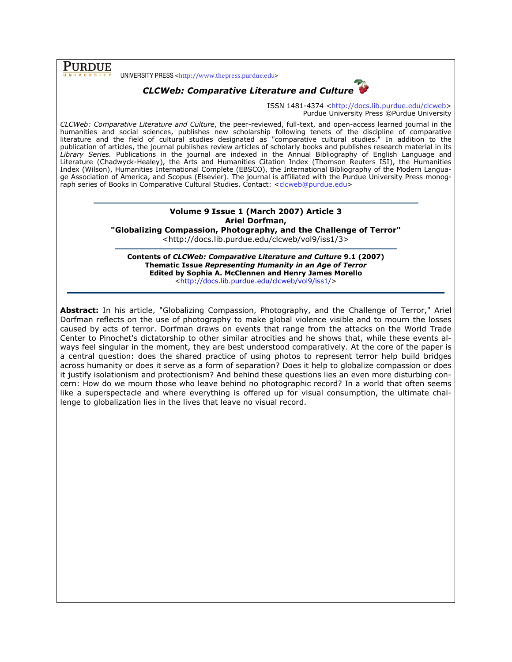**PURDUE** 

UNIVERSITY PRESS <http://www.thepress.purdue.edu>



ISSN 1481-4374 <http://docs.lib.purdue.edu/clcweb> Purdue University Press ©Purdue University

CLCWeb: Comparative Literature and Culture, the peer-reviewed, full-text, and open-access learned journal in the humanities and social sciences, publishes new scholarship following tenets of the discipline of comparative literature and the field of cultural studies designated as "comparative cultural studies." In addition to the publication of articles, the journal publishes review articles of scholarly books and publishes research material in its Library Series. Publications in the journal are indexed in the Annual Bibliography of English Language and Literature (Chadwyck-Healey), the Arts and Humanities Citation Index (Thomson Reuters ISI), the Humanities Index (Wilson), Humanities International Complete (EBSCO), the International Bibliography of the Modern Language Association of America, and Scopus (Elsevier). The journal is affiliated with the Purdue University Press monograph series of Books in Comparative Cultural Studies. Contact: <clcweb@purdue.edu>

# Volume 9 Issue 1 (March 2007) Article 3 Ariel Dorfman,

"Globalizing Compassion, Photography, and the Challenge of Terror"

<http://docs.lib.purdue.edu/clcweb/vol9/iss1/3>

Contents of CLCWeb: Comparative Literature and Culture 9.1 (2007) Thematic Issue Representing Humanity in an Age of Terror Edited by Sophia A. McClennen and Henry James Morello <http://docs.lib.purdue.edu/clcweb/vol9/iss1/>

Abstract: In his article, "Globalizing Compassion, Photography, and the Challenge of Terror," Ariel Dorfman reflects on the use of photography to make global violence visible and to mourn the losses caused by acts of terror. Dorfman draws on events that range from the attacks on the World Trade Center to Pinochet's dictatorship to other similar atrocities and he shows that, while these events always feel singular in the moment, they are best understood comparatively. At the core of the paper is a central question: does the shared practice of using photos to represent terror help build bridges across humanity or does it serve as a form of separation? Does it help to globalize compassion or does it justify isolationism and protectionism? And behind these questions lies an even more disturbing concern: How do we mourn those who leave behind no photographic record? In a world that often seems like a superspectacle and where everything is offered up for visual consumption, the ultimate challenge to globalization lies in the lives that leave no visual record.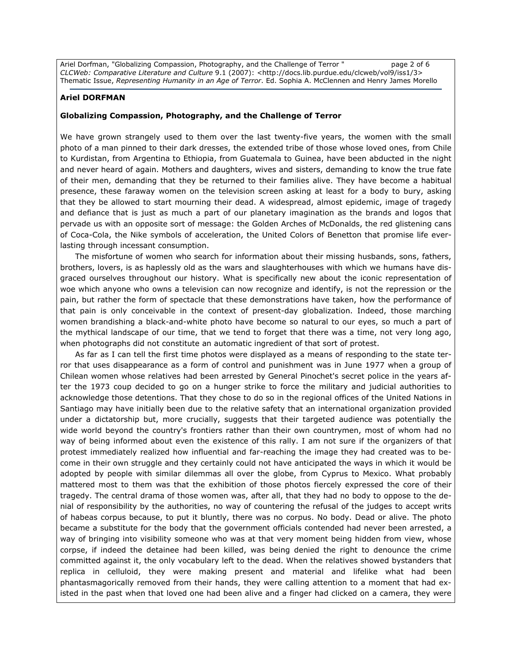Ariel Dorfman, "Globalizing Compassion, Photography, and the Challenge of Terror " page 2 of 6 CLCWeb: Comparative Literature and Culture 9.1 (2007): <http://docs.lib.purdue.edu/clcweb/vol9/iss1/3> Thematic Issue, Representing Humanity in an Age of Terror. Ed. Sophia A. McClennen and Henry James Morello

### Ariel DORFMAN

#### Globalizing Compassion, Photography, and the Challenge of Terror

We have grown strangely used to them over the last twenty-five years, the women with the small photo of a man pinned to their dark dresses, the extended tribe of those whose loved ones, from Chile to Kurdistan, from Argentina to Ethiopia, from Guatemala to Guinea, have been abducted in the night and never heard of again. Mothers and daughters, wives and sisters, demanding to know the true fate of their men, demanding that they be returned to their families alive. They have become a habitual presence, these faraway women on the television screen asking at least for a body to bury, asking that they be allowed to start mourning their dead. A widespread, almost epidemic, image of tragedy and defiance that is just as much a part of our planetary imagination as the brands and logos that pervade us with an opposite sort of message: the Golden Arches of McDonalds, the red glistening cans of Coca-Cola, the Nike symbols of acceleration, the United Colors of Benetton that promise life everlasting through incessant consumption.

The misfortune of women who search for information about their missing husbands, sons, fathers, brothers, lovers, is as haplessly old as the wars and slaughterhouses with which we humans have disgraced ourselves throughout our history. What is specifically new about the iconic representation of woe which anyone who owns a television can now recognize and identify, is not the repression or the pain, but rather the form of spectacle that these demonstrations have taken, how the performance of that pain is only conceivable in the context of present-day globalization. Indeed, those marching women brandishing a black-and-white photo have become so natural to our eyes, so much a part of the mythical landscape of our time, that we tend to forget that there was a time, not very long ago, when photographs did not constitute an automatic ingredient of that sort of protest.

As far as I can tell the first time photos were displayed as a means of responding to the state terror that uses disappearance as a form of control and punishment was in June 1977 when a group of Chilean women whose relatives had been arrested by General Pinochet's secret police in the years after the 1973 coup decided to go on a hunger strike to force the military and judicial authorities to acknowledge those detentions. That they chose to do so in the regional offices of the United Nations in Santiago may have initially been due to the relative safety that an international organization provided under a dictatorship but, more crucially, suggests that their targeted audience was potentially the wide world beyond the country's frontiers rather than their own countrymen, most of whom had no way of being informed about even the existence of this rally. I am not sure if the organizers of that protest immediately realized how influential and far-reaching the image they had created was to become in their own struggle and they certainly could not have anticipated the ways in which it would be adopted by people with similar dilemmas all over the globe, from Cyprus to Mexico. What probably mattered most to them was that the exhibition of those photos fiercely expressed the core of their tragedy. The central drama of those women was, after all, that they had no body to oppose to the denial of responsibility by the authorities, no way of countering the refusal of the judges to accept writs of habeas corpus because, to put it bluntly, there was no corpus. No body. Dead or alive. The photo became a substitute for the body that the government officials contended had never been arrested, a way of bringing into visibility someone who was at that very moment being hidden from view, whose corpse, if indeed the detainee had been killed, was being denied the right to denounce the crime committed against it, the only vocabulary left to the dead. When the relatives showed bystanders that replica in celluloid, they were making present and material and lifelike what had been phantasmagorically removed from their hands, they were calling attention to a moment that had existed in the past when that loved one had been alive and a finger had clicked on a camera, they were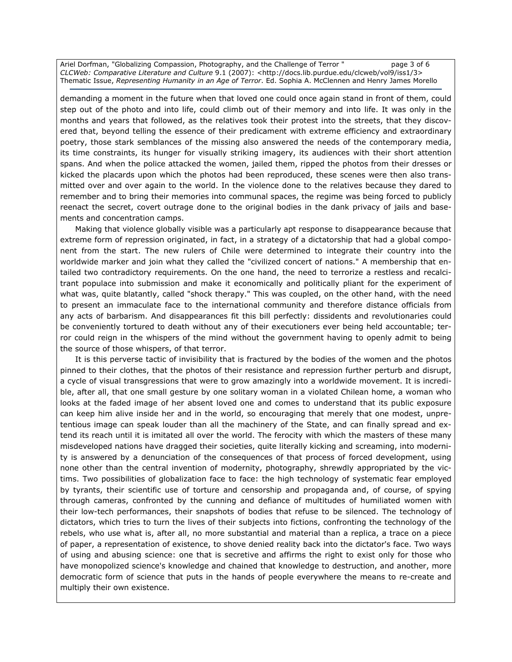Ariel Dorfman, "Globalizing Compassion, Photography, and the Challenge of Terror " page 3 of 6 CLCWeb: Comparative Literature and Culture 9.1 (2007): <http://docs.lib.purdue.edu/clcweb/vol9/iss1/3> Thematic Issue, Representing Humanity in an Age of Terror. Ed. Sophia A. McClennen and Henry James Morello

demanding a moment in the future when that loved one could once again stand in front of them, could step out of the photo and into life, could climb out of their memory and into life. It was only in the months and years that followed, as the relatives took their protest into the streets, that they discovered that, beyond telling the essence of their predicament with extreme efficiency and extraordinary poetry, those stark semblances of the missing also answered the needs of the contemporary media, its time constraints, its hunger for visually striking imagery, its audiences with their short attention spans. And when the police attacked the women, jailed them, ripped the photos from their dresses or kicked the placards upon which the photos had been reproduced, these scenes were then also transmitted over and over again to the world. In the violence done to the relatives because they dared to remember and to bring their memories into communal spaces, the regime was being forced to publicly reenact the secret, covert outrage done to the original bodies in the dank privacy of jails and basements and concentration camps.

Making that violence globally visible was a particularly apt response to disappearance because that extreme form of repression originated, in fact, in a strategy of a dictatorship that had a global component from the start. The new rulers of Chile were determined to integrate their country into the worldwide marker and join what they called the "civilized concert of nations." A membership that entailed two contradictory requirements. On the one hand, the need to terrorize a restless and recalcitrant populace into submission and make it economically and politically pliant for the experiment of what was, quite blatantly, called "shock therapy." This was coupled, on the other hand, with the need to present an immaculate face to the international community and therefore distance officials from any acts of barbarism. And disappearances fit this bill perfectly: dissidents and revolutionaries could be conveniently tortured to death without any of their executioners ever being held accountable; terror could reign in the whispers of the mind without the government having to openly admit to being the source of those whispers, of that terror.

It is this perverse tactic of invisibility that is fractured by the bodies of the women and the photos pinned to their clothes, that the photos of their resistance and repression further perturb and disrupt, a cycle of visual transgressions that were to grow amazingly into a worldwide movement. It is incredible, after all, that one small gesture by one solitary woman in a violated Chilean home, a woman who looks at the faded image of her absent loved one and comes to understand that its public exposure can keep him alive inside her and in the world, so encouraging that merely that one modest, unpretentious image can speak louder than all the machinery of the State, and can finally spread and extend its reach until it is imitated all over the world. The ferocity with which the masters of these many misdeveloped nations have dragged their societies, quite literally kicking and screaming, into modernity is answered by a denunciation of the consequences of that process of forced development, using none other than the central invention of modernity, photography, shrewdly appropriated by the victims. Two possibilities of globalization face to face: the high technology of systematic fear employed by tyrants, their scientific use of torture and censorship and propaganda and, of course, of spying through cameras, confronted by the cunning and defiance of multitudes of humiliated women with their low-tech performances, their snapshots of bodies that refuse to be silenced. The technology of dictators, which tries to turn the lives of their subjects into fictions, confronting the technology of the rebels, who use what is, after all, no more substantial and material than a replica, a trace on a piece of paper, a representation of existence, to shove denied reality back into the dictator's face. Two ways of using and abusing science: one that is secretive and affirms the right to exist only for those who have monopolized science's knowledge and chained that knowledge to destruction, and another, more democratic form of science that puts in the hands of people everywhere the means to re-create and multiply their own existence.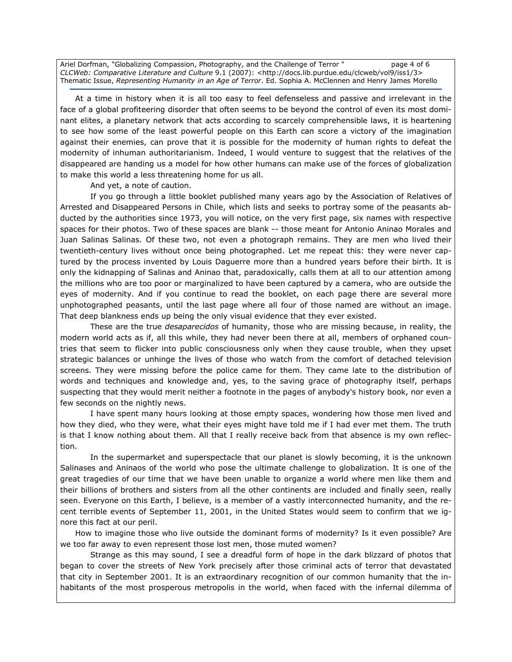Ariel Dorfman, "Globalizing Compassion, Photography, and the Challenge of Terror " page 4 of 6 CLCWeb: Comparative Literature and Culture 9.1 (2007): <http://docs.lib.purdue.edu/clcweb/vol9/iss1/3> Thematic Issue, Representing Humanity in an Age of Terror. Ed. Sophia A. McClennen and Henry James Morello

At a time in history when it is all too easy to feel defenseless and passive and irrelevant in the face of a global profiteering disorder that often seems to be beyond the control of even its most dominant elites, a planetary network that acts according to scarcely comprehensible laws, it is heartening to see how some of the least powerful people on this Earth can score a victory of the imagination against their enemies, can prove that it is possible for the modernity of human rights to defeat the modernity of inhuman authoritarianism. Indeed, I would venture to suggest that the relatives of the disappeared are handing us a model for how other humans can make use of the forces of globalization to make this world a less threatening home for us all.

And yet, a note of caution.

 If you go through a little booklet published many years ago by the Association of Relatives of Arrested and Disappeared Persons in Chile, which lists and seeks to portray some of the peasants abducted by the authorities since 1973, you will notice, on the very first page, six names with respective spaces for their photos. Two of these spaces are blank -- those meant for Antonio Aninao Morales and Juan Salinas Salinas. Of these two, not even a photograph remains. They are men who lived their twentieth-century lives without once being photographed. Let me repeat this: they were never captured by the process invented by Louis Daguerre more than a hundred years before their birth. It is only the kidnapping of Salinas and Aninao that, paradoxically, calls them at all to our attention among the millions who are too poor or marginalized to have been captured by a camera, who are outside the eyes of modernity. And if you continue to read the booklet, on each page there are several more unphotographed peasants, until the last page where all four of those named are without an image. That deep blankness ends up being the only visual evidence that they ever existed.

These are the true *desaparecidos* of humanity, those who are missing because, in reality, the modern world acts as if, all this while, they had never been there at all, members of orphaned countries that seem to flicker into public consciousness only when they cause trouble, when they upset strategic balances or unhinge the lives of those who watch from the comfort of detached television screens. They were missing before the police came for them. They came late to the distribution of words and techniques and knowledge and, yes, to the saving grace of photography itself, perhaps suspecting that they would merit neither a footnote in the pages of anybody's history book, nor even a few seconds on the nightly news.

 I have spent many hours looking at those empty spaces, wondering how those men lived and how they died, who they were, what their eyes might have told me if I had ever met them. The truth is that I know nothing about them. All that I really receive back from that absence is my own reflection.

 In the supermarket and superspectacle that our planet is slowly becoming, it is the unknown Salinases and Aninaos of the world who pose the ultimate challenge to globalization. It is one of the great tragedies of our time that we have been unable to organize a world where men like them and their billions of brothers and sisters from all the other continents are included and finally seen, really seen. Everyone on this Earth, I believe, is a member of a vastly interconnected humanity, and the recent terrible events of September 11, 2001, in the United States would seem to confirm that we ignore this fact at our peril.

How to imagine those who live outside the dominant forms of modernity? Is it even possible? Are we too far away to even represent those lost men, those muted women?

 Strange as this may sound, I see a dreadful form of hope in the dark blizzard of photos that began to cover the streets of New York precisely after those criminal acts of terror that devastated that city in September 2001. It is an extraordinary recognition of our common humanity that the inhabitants of the most prosperous metropolis in the world, when faced with the infernal dilemma of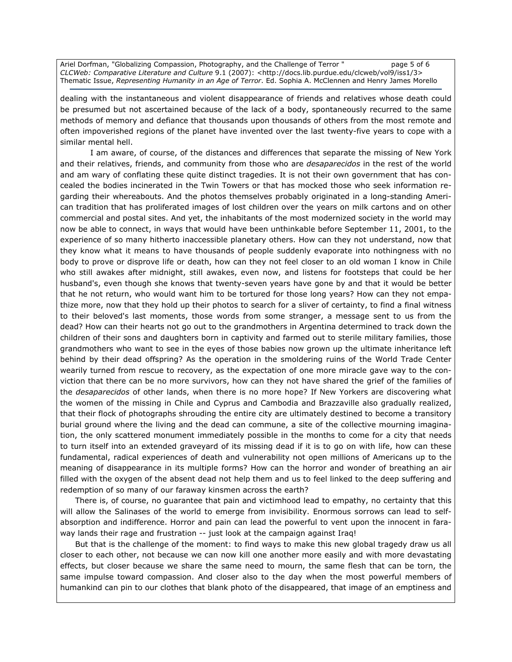Ariel Dorfman, "Globalizing Compassion, Photography, and the Challenge of Terror " page 5 of 6 CLCWeb: Comparative Literature and Culture 9.1 (2007): <http://docs.lib.purdue.edu/clcweb/vol9/iss1/3> Thematic Issue, Representing Humanity in an Age of Terror. Ed. Sophia A. McClennen and Henry James Morello

dealing with the instantaneous and violent disappearance of friends and relatives whose death could be presumed but not ascertained because of the lack of a body, spontaneously recurred to the same methods of memory and defiance that thousands upon thousands of others from the most remote and often impoverished regions of the planet have invented over the last twenty-five years to cope with a similar mental hell.

 I am aware, of course, of the distances and differences that separate the missing of New York and their relatives, friends, and community from those who are *desaparecidos* in the rest of the world and am wary of conflating these quite distinct tragedies. It is not their own government that has concealed the bodies incinerated in the Twin Towers or that has mocked those who seek information regarding their whereabouts. And the photos themselves probably originated in a long-standing American tradition that has proliferated images of lost children over the years on milk cartons and on other commercial and postal sites. And yet, the inhabitants of the most modernized society in the world may now be able to connect, in ways that would have been unthinkable before September 11, 2001, to the experience of so many hitherto inaccessible planetary others. How can they not understand, now that they know what it means to have thousands of people suddenly evaporate into nothingness with no body to prove or disprove life or death, how can they not feel closer to an old woman I know in Chile who still awakes after midnight, still awakes, even now, and listens for footsteps that could be her husband's, even though she knows that twenty-seven years have gone by and that it would be better that he not return, who would want him to be tortured for those long years? How can they not empathize more, now that they hold up their photos to search for a sliver of certainty, to find a final witness to their beloved's last moments, those words from some stranger, a message sent to us from the dead? How can their hearts not go out to the grandmothers in Argentina determined to track down the children of their sons and daughters born in captivity and farmed out to sterile military families, those grandmothers who want to see in the eyes of those babies now grown up the ultimate inheritance left behind by their dead offspring? As the operation in the smoldering ruins of the World Trade Center wearily turned from rescue to recovery, as the expectation of one more miracle gave way to the conviction that there can be no more survivors, how can they not have shared the grief of the families of the *desaparecidos* of other lands, when there is no more hope? If New Yorkers are discovering what the women of the missing in Chile and Cyprus and Cambodia and Brazzaville also gradually realized, that their flock of photographs shrouding the entire city are ultimately destined to become a transitory burial ground where the living and the dead can commune, a site of the collective mourning imagination, the only scattered monument immediately possible in the months to come for a city that needs to turn itself into an extended graveyard of its missing dead if it is to go on with life, how can these fundamental, radical experiences of death and vulnerability not open millions of Americans up to the meaning of disappearance in its multiple forms? How can the horror and wonder of breathing an air filled with the oxygen of the absent dead not help them and us to feel linked to the deep suffering and redemption of so many of our faraway kinsmen across the earth?

There is, of course, no guarantee that pain and victimhood lead to empathy, no certainty that this will allow the Salinases of the world to emerge from invisibility. Enormous sorrows can lead to selfabsorption and indifference. Horror and pain can lead the powerful to vent upon the innocent in faraway lands their rage and frustration -- just look at the campaign against Iraq!

But that is the challenge of the moment: to find ways to make this new global tragedy draw us all closer to each other, not because we can now kill one another more easily and with more devastating effects, but closer because we share the same need to mourn, the same flesh that can be torn, the same impulse toward compassion. And closer also to the day when the most powerful members of humankind can pin to our clothes that blank photo of the disappeared, that image of an emptiness and